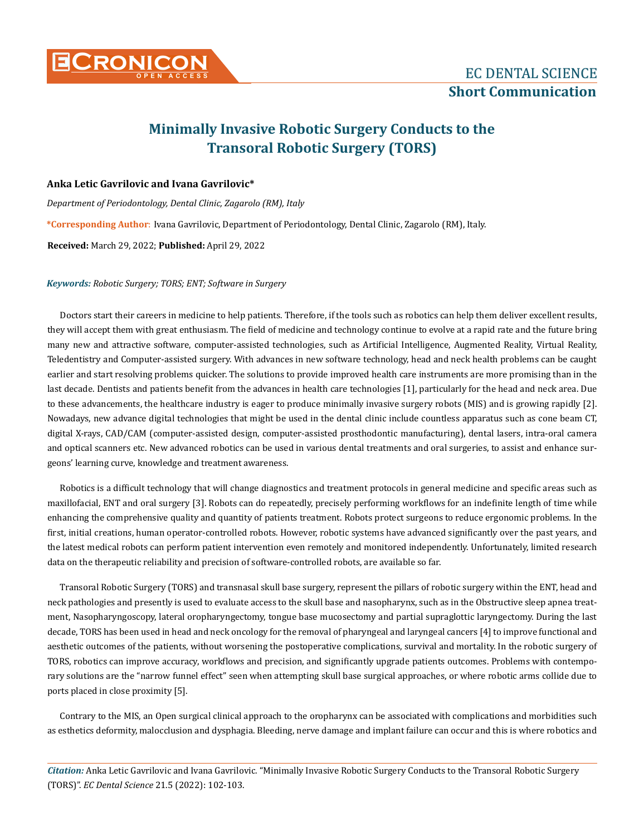

# **Minimally Invasive Robotic Surgery Conducts to the Transoral Robotic Surgery (TORS)**

## **Anka Letic Gavrilovic and Ivana Gavrilovic\***

*Department of Periodontology, Dental Clinic, Zagarolo (RM), Italy*

**\*Corresponding Author**: Ivana Gavrilovic, Department of Periodontology, Dental Clinic, Zagarolo (RM), Italy.

**Received:** March 29, 2022; **Published:** April 29, 2022

#### *Keywords: Robotic Surgery; TORS; ENT; Software in Surgery*

Doctors start their careers in medicine to help patients. Therefore, if the tools such as robotics can help them deliver excellent results, they will accept them with great enthusiasm. The field of medicine and technology continue to evolve at a rapid rate and the future bring many new and attractive software, computer-assisted technologies, such as Artificial Intelligence, Augmented Reality, Virtual Reality, Teledentistry and Computer-assisted surgery. With advances in new software technology, head and neck health problems can be caught earlier and start resolving problems quicker. The solutions to provide improved health care instruments are more promising than in the last decade. Dentists and patients benefit from the advances in health care technologies [1], particularly for the head and neck area. Due to these advancements, the healthcare industry is eager to produce minimally invasive surgery robots (MIS) and is growing rapidly [2]. Nowadays, new advance digital technologies that might be used in the dental clinic include countless apparatus such as cone beam CT, digital X-rays, CAD/CAM (computer-assisted design, computer-assisted prosthodontic manufacturing), dental lasers, intra-oral camera and optical scanners etc. New advanced robotics can be used in various dental treatments and oral surgeries, to assist and enhance surgeons' learning curve, knowledge and treatment awareness.

Robotics is a difficult technology that will change diagnostics and treatment protocols in general medicine and specific areas such as maxillofacial, ENT and oral surgery [3]. Robots can do repeatedly, precisely performing workflows for an indefinite length of time while enhancing the comprehensive quality and quantity of patients treatment. Robots protect surgeons to reduce ergonomic problems. In the first, initial creations, human operator-controlled robots. However, robotic systems have advanced significantly over the past years, and the latest medical robots can perform patient intervention even remotely and monitored independently. Unfortunately, limited research data on the therapeutic reliability and precision of software-controlled robots, are available so far.

Transoral Robotic Surgery (TORS) and transnasal skull base surgery, represent the pillars of robotic surgery within the ENT, head and neck pathologies and presently is used to evaluate access to the skull base and nasopharynx, such as in the Obstructive sleep apnea treatment, Nasopharyngoscopy, lateral oropharyngectomy, tongue base mucosectomy and partial supraglottic laryngectomy. During the last decade, TORS has been used in head and neck oncology for the removal of pharyngeal and laryngeal cancers [4] to improve functional and aesthetic outcomes of the patients, without worsening the postoperative complications, survival and mortality. In the robotic surgery of TORS, robotics can improve accuracy, workflows and precision, and significantly upgrade patients outcomes. Problems with contemporary solutions are the "narrow funnel effect" seen when attempting skull base surgical approaches, or where robotic arms collide due to ports placed in close proximity [5].

Contrary to the MIS, an Open surgical clinical approach to the oropharynx can be associated with complications and morbidities such as esthetics deformity, malocclusion and dysphagia. Bleeding, nerve damage and implant failure can occur and this is where robotics and

*Citation:* Anka Letic Gavrilovic and Ivana Gavrilovic*.* "Minimally Invasive Robotic Surgery Conducts to the Transoral Robotic Surgery (TORS)". *EC Dental Science* 21.5 (2022): 102-103.